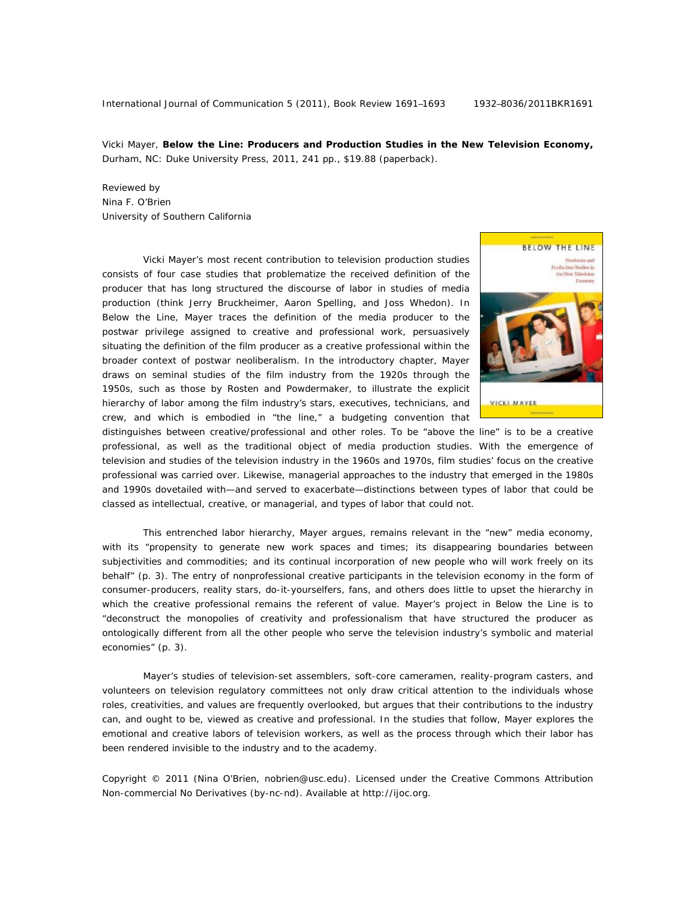International Journal of Communication 5 (2011), Book Review 1691-1693 1932-8036/2011BKR1691

Vicki Mayer, **Below the Line: Producers and Production Studies in the New Television Economy,** Durham, NC: Duke University Press, 2011, 241 pp., \$19.88 (paperback).

Reviewed by Nina F. O'Brien University of Southern California

Vicki Mayer's most recent contribution to television production studies consists of four case studies that problematize the received definition of the producer that has long structured the discourse of labor in studies of media production (think Jerry Bruckheimer, Aaron Spelling, and Joss Whedon). In *Below the Line*, Mayer traces the definition of the media producer to the postwar privilege assigned to creative and professional work, persuasively situating the definition of the film producer as a creative professional within the broader context of postwar neoliberalism. In the introductory chapter, Mayer draws on seminal studies of the film industry from the 1920s through the 1950s, such as those by Rosten and Powdermaker, to illustrate the explicit hierarchy of labor among the film industry's stars, executives, technicians, and crew, and which is embodied in "the line," a budgeting convention that



distinguishes between creative/professional and other roles. To be "above the line" is to be a creative professional, as well as the traditional object of media production studies. With the emergence of television and studies of the television industry in the 1960s and 1970s, film studies' focus on the creative professional was carried over. Likewise, managerial approaches to the industry that emerged in the 1980s and 1990s dovetailed with—and served to exacerbate—distinctions between types of labor that could be classed as intellectual, creative, or managerial, and types of labor that could not.

This entrenched labor hierarchy, Mayer argues, remains relevant in the "new" media economy, with its "propensity to generate new work spaces and times; its disappearing boundaries between subjectivities and commodities; and its continual incorporation of new people who will work freely on its behalf" (p. 3). The entry of nonprofessional creative participants in the television economy in the form of consumer-producers, reality stars, do-it-yourselfers, fans, and others does little to upset the hierarchy in which the creative professional remains the referent of value. Mayer's project in *Below the Line* is to "deconstruct the monopolies of creativity and professionalism that have structured the producer as ontologically different from all the other people who serve the television industry's symbolic and material economies" (p. 3).

Mayer's studies of television-set assemblers, soft-core cameramen, reality-program casters, and volunteers on television regulatory committees not only draw critical attention to the individuals whose roles, creativities, and values are frequently overlooked, but argues that their contributions to the industry can, and ought to be, viewed as creative and professional. In the studies that follow, Mayer explores the emotional and creative labors of television workers, as well as the process through which their labor has been rendered invisible to the industry and to the academy.

Copyright © 2011 (Nina O'Brien, nobrien@usc.edu). Licensed under the Creative Commons Attribution Non-commercial No Derivatives (by-nc-nd). Available at http://ijoc.org.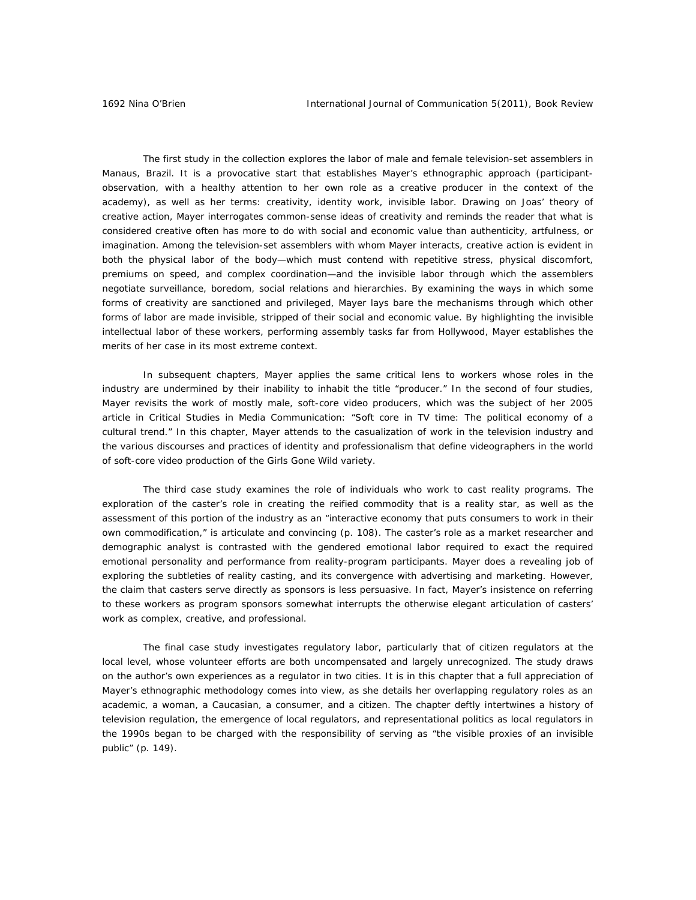The first study in the collection explores the labor of male and female television-set assemblers in Manaus, Brazil. It is a provocative start that establishes Mayer's ethnographic approach (participantobservation, with a healthy attention to her own role as a creative producer in the context of the academy), as well as her terms: creativity, identity work, invisible labor. Drawing on Joas' theory of creative action, Mayer interrogates common-sense ideas of creativity and reminds the reader that what is considered creative often has more to do with social and economic value than authenticity, artfulness, or imagination. Among the television-set assemblers with whom Mayer interacts, creative action is evident in both the physical labor of the body—which must contend with repetitive stress, physical discomfort, premiums on speed, and complex coordination—and the invisible labor through which the assemblers negotiate surveillance, boredom, social relations and hierarchies. By examining the ways in which some forms of creativity are sanctioned and privileged, Mayer lays bare the mechanisms through which other forms of labor are made invisible, stripped of their social and economic value. By highlighting the invisible intellectual labor of these workers, performing assembly tasks far from Hollywood, Mayer establishes the merits of her case in its most extreme context.

In subsequent chapters, Mayer applies the same critical lens to workers whose roles in the industry are undermined by their inability to inhabit the title "producer." In the second of four studies, Mayer revisits the work of mostly male, soft-core video producers, which was the subject of her 2005 article in *Critical Studies in Media Communication*: "Soft core in TV time: The political economy of a cultural trend." In this chapter, Mayer attends to the casualization of work in the television industry and the various discourses and practices of identity and professionalism that define videographers in the world of soft-core video production of the *Girls Gone Wild* variety.

The third case study examines the role of individuals who work to cast reality programs. The exploration of the caster's role in creating the reified commodity that is a reality star, as well as the assessment of this portion of the industry as an "interactive economy that puts consumers to work in their own commodification," is articulate and convincing (p. 108). The caster's role as a market researcher and demographic analyst is contrasted with the gendered emotional labor required to exact the required emotional personality and performance from reality-program participants. Mayer does a revealing job of exploring the subtleties of reality casting, and its convergence with advertising and marketing. However, the claim that casters serve directly as sponsors is less persuasive. In fact, Mayer's insistence on referring to these workers as program sponsors somewhat interrupts the otherwise elegant articulation of casters' work as complex, creative, and professional.

The final case study investigates regulatory labor, particularly that of citizen regulators at the local level, whose volunteer efforts are both uncompensated and largely unrecognized. The study draws on the author's own experiences as a regulator in two cities. It is in this chapter that a full appreciation of Mayer's ethnographic methodology comes into view, as she details her overlapping regulatory roles as an academic, a woman, a Caucasian, a consumer, and a citizen. The chapter deftly intertwines a history of television regulation, the emergence of local regulators, and representational politics as local regulators in the 1990s began to be charged with the responsibility of serving as "the visible proxies of an invisible public" (p. 149).